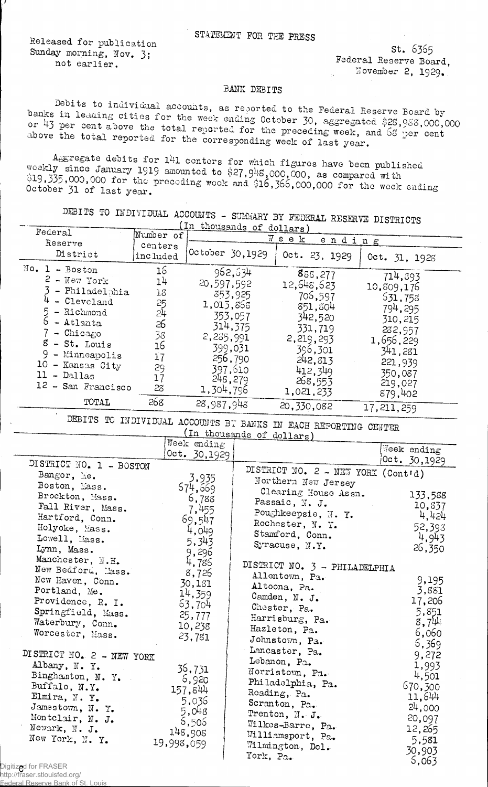Released for publication Sunday morning, Nov. 3; not earlier.

st. 6365 Federal Reserve Board, November 2, 1929.

## BANK DEBITS

Debits to individual accounts, as reported to the Federal Reserve Board by banks in leading cities for the week ending October 30, aggregated \$25,958,000,000 or 43 per cent above the total reported for the preceding week, and 68 per cent above the total reported for the corresponding week of last year.

Aggregate debits for 141 centers for which figures have been published weekly since January 1919 amounted to \$27,948,000,000, as compared with<br>\$19,335,000,000 for the preceding week and \$16,366,000,000 for the week ending October 31 of last year.

DEBITS TO INDIVIDUAL ACCOUNTS - SUMMARY BY FEDERAL RESERVE DISTRICTS

|                                                                                                                                                                                                                              |                                                                             | In thousands of dollars)                                                                                                                  |                                                                                                                                         |                                                                                                                                         |  |
|------------------------------------------------------------------------------------------------------------------------------------------------------------------------------------------------------------------------------|-----------------------------------------------------------------------------|-------------------------------------------------------------------------------------------------------------------------------------------|-----------------------------------------------------------------------------------------------------------------------------------------|-----------------------------------------------------------------------------------------------------------------------------------------|--|
| Federal<br>Reserve                                                                                                                                                                                                           | Number of<br>centers                                                        | $W$ e e $K$<br>ending                                                                                                                     |                                                                                                                                         |                                                                                                                                         |  |
| District                                                                                                                                                                                                                     | included                                                                    | October 30,1929                                                                                                                           | Oct. 23, 1929                                                                                                                           | Oct. 31, 1928                                                                                                                           |  |
| $No. 1 - Boston$<br>$2 -$ New York<br>- Philadelphia<br>- Cleveland<br>- Richmond<br>6<br>- Atlanta<br>$-$ Chicago<br>$8 - St.$ Louis<br>9 - Minneapolis<br>10 - Kansas City<br>$11 - Dallas$<br>12 - San Francisco<br>TOTAL | 16<br>14<br>18<br>25<br>24<br>26<br>38<br>16<br>17<br>29<br>17<br>28<br>268 | 962,534<br>20,597,592<br>353,925<br>1,013,868<br>353,057<br>314,375<br>2,235,991<br>399,031<br>256,790<br>397,610<br>248,279<br>1,304,796 | 885,277<br>12,648,623<br>706,597<br>851,304<br>342,520<br>331,719<br>2,219,293<br>396,301<br>242,813<br>412,349<br>268,553<br>1,021,233 | 714,393<br>10,509,176<br>531,758<br>794, 295<br>310, 215<br>282,957<br>1,656,229<br>341,281<br>221,939<br>350,087<br>219,027<br>879,402 |  |
|                                                                                                                                                                                                                              |                                                                             | 28,987,948                                                                                                                                | 20,330,082                                                                                                                              | 17, 211, 259                                                                                                                            |  |

DEBITS TO INDIVIDUAL ACCOUNTS BT BANKS IN EACH REPORTING CENTER

|                           |              | (in thousands of dollars)                                 |                |
|---------------------------|--------------|-----------------------------------------------------------|----------------|
|                           | Week ending  |                                                           | Week ending    |
|                           | Oct. 30,1929 |                                                           | Oct. 30,1929   |
| DISTRICT NO. 1 - BOSTON   |              |                                                           |                |
| Bangor, Me.               | 3,935        | DISTRICT NO. 2 - NEW YORK (Cont'd)<br>Northern New Jersey |                |
| Boston, Mass.             | 674,669      |                                                           |                |
| Brockton, Mass.           | 6,788        | Clearing House Assn.                                      | 133,588        |
| Fall River, Mass.         | 7,455        | Passaic, N. J.                                            | 10,837         |
| Hartford, Conn.           | 69,547       | Poughkeepsie, N.Y.                                        | 4,424          |
| Holyoke, Mass.            | 4,049        | Rochester, N. Y.                                          | 52,393         |
| Lowell, Mass.             | 5,343        | Stamford, Conn.                                           | 4,943          |
| Lynn, Mass.               | 9,296        | Syracuse, N.Y.                                            | 26,350         |
| Manchester, N.H.          | 4,786        |                                                           |                |
| New Bedford, Mass.        | 8,726        | DISTRICT NO. 3 - PHILADELPHIA                             |                |
| New Haven, Conn.          | 30,131       | Allentown, Pa.                                            | 9,195          |
| Portland, Me.             | 14,359       | Altoona, Pa.                                              | 3,881          |
| Providence, R. I.         |              | Camden, N. J.                                             | 17,206         |
| Springfield, Mass.        | 63,704       | Chester, Pa.                                              | 5,851          |
| Waterbury, Conn.          | 25,777       | Harrisburg, Pa.                                           | 8,744          |
| Worcester, Mass.          | 10,238       | Hazleton, Pa.                                             | 6,060          |
|                           | 23,781       | Johnstown, Pa.                                            | 6,369          |
| DISTRICT NO. 2 - NEW YORK |              | Lancaster, Pa.                                            | 9,272          |
|                           |              | Lebanon, Pa.                                              |                |
| Albany, N.Y.              | 36,731       | Norristown, Pa.                                           | 1,993<br>4,501 |
| Binghamton, N. Y.         | 6,920        | Philadelphia, Pa.                                         |                |
| Buffalo, N.Y.             | 157,844      | Reading, Pa.                                              | 670,300        |
| Elmira, N.Y.              | 5,036        | Scranton, Pa.                                             | 11,644         |
| Jamestown, N. Y.          | 5,048        | Trenton, $N - J -$                                        | 24,000         |
| Montclair, N. J.          | 5,505        | Wilkes-Barre, Pa.                                         | 20,097         |
| Newark, N. J.             | 148,908      | Williamsport, Pa.                                         | 12,265         |
| New York, N. Y.           | 19,998,059   | Wilmington, Dol.                                          | 5,581          |
|                           |              | York, Pa.                                                 | 30,903         |
| ized for EDACED           |              |                                                           | 5,063          |

Digitiz**e**d for FRASER<br>http://fraser.stlouisfed.org/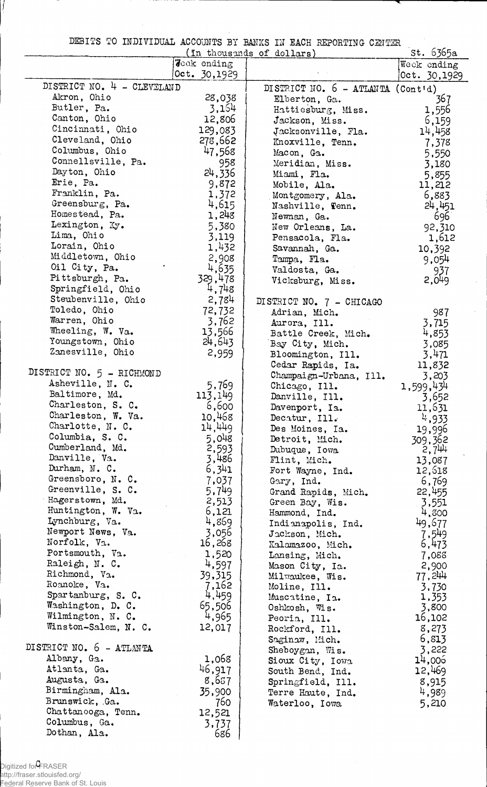DEBITS TO INDIVIDUAL ACCOUNTS BY BANKS IN EACH REPORTING CENTER

| بالمتشاط الشابات<br>st. 6365a<br>(In thousands of dollars) |                    |                                     |                  |  |
|------------------------------------------------------------|--------------------|-------------------------------------|------------------|--|
|                                                            | <b>Jeck ending</b> |                                     | Weck ending      |  |
|                                                            | Oct. 30,1929       |                                     | Oct. 30,1929     |  |
| DISTRICT NO. 4 - CLEVELAND                                 |                    | DISTRICT NO. $6$ - ATLANTA (Cont'd) |                  |  |
| Akron, Ohio                                                | 28,038             | Elberton, Ga.                       | 367              |  |
| Butler, Pa.                                                | 3,154              | Hattiesburg, Miss.                  | 1,556            |  |
| Canton, Ohio                                               | 12,806             | Jackson, Miss.                      | 6,159            |  |
| Cincinnati, Ohio                                           | 129,083            | Jacksonville, Fla.                  | 14,458           |  |
| Cleveland, Ohio                                            | 278,662            | Knoxville, Tenn.                    | 7,378            |  |
| Columbus, Ohio                                             | 47,568             | Macon, Ga.                          | 5,550            |  |
| Connellsville, Pa.                                         | 958                | Meridian, Miss.                     | 3,180            |  |
| Dayton, Ohio                                               | 24,336             | Miami, Fla.                         | 5,855            |  |
| Erie, Pa.                                                  | 9,872              | Mobile, Ala.                        | 11,212           |  |
| Franklin, Pa.<br>Greensburg, Pa.                           | 1,372              | Montgomery, Ala.                    | 6,883            |  |
| Homestead, Pa.                                             | 4,615<br>1,248     | Nashville, Tenn.                    | 24,451           |  |
| Lexington, Ky.                                             | 5,380              | Newnan, Ga.                         | <u>6961</u>      |  |
| Lima, Ohio                                                 | 3,119              | New Orleans, La.                    | 92,310<br>1,612  |  |
| Lorain, Ohio                                               | 1,432              | Pensacola, Fla.<br>Savannah, Ga.    | 10,392           |  |
| Middletown, Ohio                                           | 2,908              | Tampa, Fla.                         | 9,054            |  |
| Oil City, Pa.                                              | 4,635              | Valdosta, Ga.                       | 937              |  |
| Pittsburgh, Pa.                                            | 329,478            | Vicksburg, Miss.                    | 2,049            |  |
| Springfield, Ohio                                          | 4,748              |                                     |                  |  |
| Steubenville, Ohio                                         | 2,784              | DISTRICT NO. 7 - CHICAGO            |                  |  |
| Toledo, Ohio                                               | 72,732             | Adrian, Mich.                       | 987              |  |
| Warren, Ohio                                               | 3,762              | Aurora, Ill.                        | 3,715            |  |
| Wheeling, W. Va.                                           | 13,566             | Battle Creek, Mich.                 | 4,853            |  |
| Youngstown, Ohio                                           | 24,643             | Bay City, Mich.                     | 3,085            |  |
| Zanesville, Ohio                                           | 2,959              | Bloomington, Ill.                   | 3,471            |  |
|                                                            |                    | Cedar Rapids, Ia.                   | 11,832           |  |
| DISTRICT NO. 5 - RICHMOND                                  |                    | Champaign-Urbana, Ill.              | 3,203            |  |
| Asheville, N. C.                                           | 5,769              | Chicago, Ill.                       | 1,599,434        |  |
| Baltimore, Md.                                             | 113,149            | Danville, Ill.                      | 3,652            |  |
| Charleston, S. C.<br>Charleston, W. Va.                    | 6,600              | Davenport, Ia.                      | 11,631           |  |
| Charlotte, N. C.                                           | 10,468             | Decatur, Ill.                       | 4,933            |  |
| Columbia, S. C.                                            | 14,449<br>5,048    | Des Moines, Ia.                     | 19,996           |  |
| Cumberland, Md.                                            | 2,593              | Detroit, Mich.                      | 309,362<br>2,744 |  |
| Danville, Va.                                              | 3,486              | Dubuque, Iowa<br>Flint, Mich.       | 13,087           |  |
| Durham, N. C.                                              | 6,341              | Fort Wayne, Ind.                    | 12,618           |  |
| Greensboro, N. C.                                          | 7,037              | Gary, Ind.                          | 6,769            |  |
| Greenville, S. C.                                          | 5,749              | Grand Rapids, Mich.                 | 22,455           |  |
| Hagerstown, Md.                                            | 2,513              | Green Bay, Wis.                     | 3,551            |  |
| Huntington, W. Va.                                         | 6,121              | Hammond, Ind.                       | 4,800            |  |
| Lynchburg, Va.                                             | 4,869              | Indianapolis, Ind.                  | 49,677           |  |
| Newport News, Va.                                          | 3,056              | Jackson, Mich.                      | 7,549            |  |
| Norfolk, Va.                                               | 16,268             | Kalamazoo, Mich.                    | 6,473            |  |
| Portsmouth, Va.                                            | 1,520              | Lansing, Mich.                      | 7,088            |  |
| Raleigh, N. C.                                             | 4,597              | Mason City, Ia.                     | 2,900            |  |
| Richmond, V <sub>2</sub> .                                 | 39,315             | Milwaukee, Wis.                     | 77,244           |  |
| Roanoke, Va.<br>Spartanburg, S. C.                         | 7,162<br>4,459     | Moline, Ill.                        | 3,730            |  |
| Washington, D. C.                                          | 65,506             | Muscatine, Ia.                      | 1,353            |  |
| Wilmington, N. C.                                          | 4,965              | Oshkosh, Wis.                       | 3,800<br>16,102  |  |
| Winston-Salem, N. C.                                       | 12,017             | Peoria, Ill.                        | 8,273            |  |
|                                                            |                    | Rockford, Ill.<br>Saginaw, Mich.    | 6,813            |  |
| DISTRICT NO. 6 - ATLANTA                                   |                    | Sheboygan, Wis.                     | 3,222            |  |
| Albany, Ga.                                                | 1,068              | Sioux City, Iowa                    | 14,006           |  |
| Atlanta, Ga.                                               | 46,917             | South Bend, Ind.                    | 12,469           |  |
| Augusta, Ga.                                               | 8,657              | Springfield, Ill.                   | 8,915            |  |
| Birmingham, Ala.                                           | 35,900             | Terre Haute, Ind.                   | 4,989            |  |
| Brunswick, Ga.                                             | 760                | Waterloo, Iowa                      | 5,210            |  |
| Chattanooga, Tenn.                                         | 12,521             |                                     |                  |  |
| Columbus, Ga.                                              | 3,737              |                                     |                  |  |
| Dothan, Ala.                                               | 686                |                                     |                  |  |

Digitized for FRASER http://fraser.stlouisfed.org/ Federal Reserve Bank of St. Louis

i.